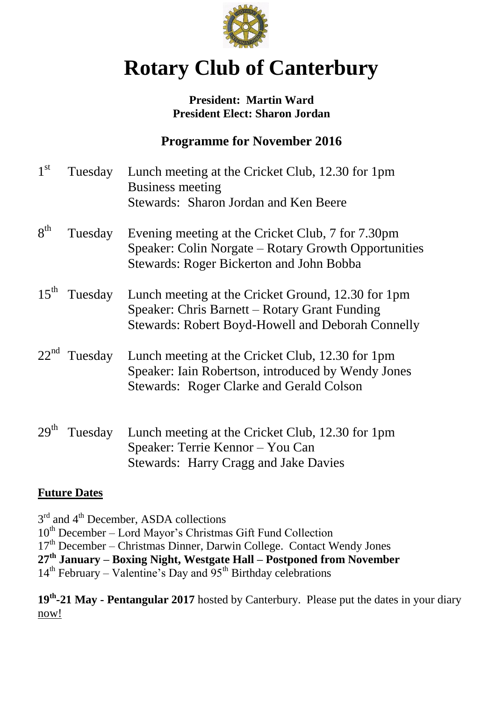

# **Rotary Club of Canterbury**

#### **President: Martin Ward President Elect: Sharon Jordan**

## **Programme for November 2016**

| 1 <sup>st</sup>  | Tuesday        | Lunch meeting at the Cricket Club, 12.30 for 1pm<br><b>Business meeting</b><br>Stewards: Sharon Jordan and Ken Beere                                      |
|------------------|----------------|-----------------------------------------------------------------------------------------------------------------------------------------------------------|
| $8^{th}$         | Tuesday        | Evening meeting at the Cricket Club, 7 for 7.30pm<br>Speaker: Colin Norgate – Rotary Growth Opportunities<br>Stewards: Roger Bickerton and John Bobba     |
| $15^{\text{th}}$ | Tuesday        | Lunch meeting at the Cricket Ground, 12.30 for 1pm<br>Speaker: Chris Barnett – Rotary Grant Funding<br>Stewards: Robert Boyd-Howell and Deborah Connelly  |
|                  | $22nd$ Tuesday | Lunch meeting at the Cricket Club, 12.30 for 1pm<br>Speaker: Iain Robertson, introduced by Wendy Jones<br><b>Stewards: Roger Clarke and Gerald Colson</b> |
| 29 <sup>th</sup> | Tuesday        | Lunch meeting at the Cricket Club, 12.30 for 1pm<br>Speaker: Terrie Kennor – You Can<br><b>Stewards: Harry Cragg and Jake Davies</b>                      |

#### **Future Dates**

3<sup>rd</sup> and 4<sup>th</sup> December, ASDA collections

 $10<sup>th</sup> December – Lord Mayor's Christmas Gift Fund Collection$ 

17<sup>th</sup> December – Christmas Dinner, Darwin College. Contact Wendy Jones

**27th January – Boxing Night, Westgate Hall – Postponed from November**

 $14<sup>th</sup>$  February – Valentine's Day and  $95<sup>th</sup>$  Birthday celebrations

**19th -21 May - Pentangular 2017** hosted by Canterbury. Please put the dates in your diary now!